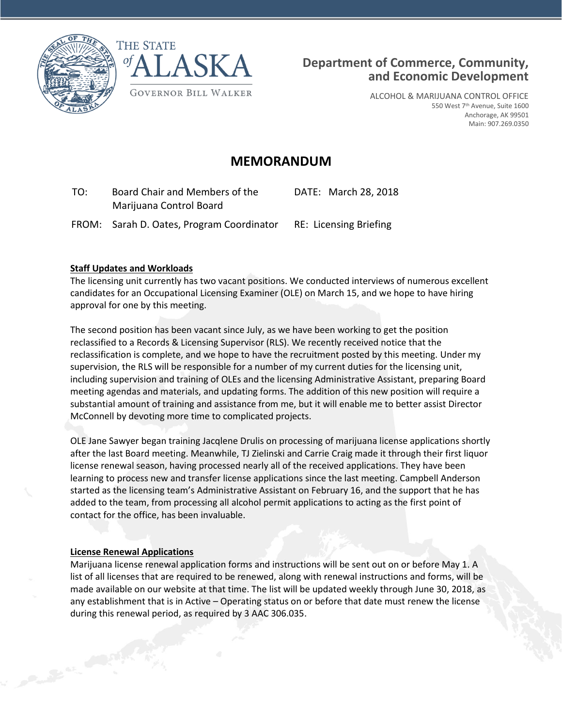



ALCOHOL & MARIJUANA CONTROL OFFICE 550 West 7th Avenue, Suite 1600 Anchorage, AK 99501 Main: 907.269.0350

## **MEMORANDUM**

| TO: | Board Chair and Members of the | DATE: March 28, 2018 |
|-----|--------------------------------|----------------------|
|     | Marijuana Control Board        |                      |

FROM: Sarah D. Oates, Program Coordinator RE: Licensing Briefing

## **Staff Updates and Workloads**

The licensing unit currently has two vacant positions. We conducted interviews of numerous excellent candidates for an Occupational Licensing Examiner (OLE) on March 15, and we hope to have hiring approval for one by this meeting.

The second position has been vacant since July, as we have been working to get the position reclassified to a Records & Licensing Supervisor (RLS). We recently received notice that the reclassification is complete, and we hope to have the recruitment posted by this meeting. Under my supervision, the RLS will be responsible for a number of my current duties for the licensing unit, including supervision and training of OLEs and the licensing Administrative Assistant, preparing Board meeting agendas and materials, and updating forms. The addition of this new position will require a substantial amount of training and assistance from me, but it will enable me to better assist Director McConnell by devoting more time to complicated projects.

OLE Jane Sawyer began training Jacqlene Drulis on processing of marijuana license applications shortly after the last Board meeting. Meanwhile, TJ Zielinski and Carrie Craig made it through their first liquor license renewal season, having processed nearly all of the received applications. They have been learning to process new and transfer license applications since the last meeting. Campbell Anderson started as the licensing team's Administrative Assistant on February 16, and the support that he has added to the team, from processing all alcohol permit applications to acting as the first point of contact for the office, has been invaluable.

## **License Renewal Applications**

Contract on the Contract of

Marijuana license renewal application forms and instructions will be sent out on or before May 1. A list of all licenses that are required to be renewed, along with renewal instructions and forms, will be made available on our website at that time. The list will be updated weekly through June 30, 2018, as any establishment that is in Active – Operating status on or before that date must renew the license during this renewal period, as required by 3 AAC 306.035.